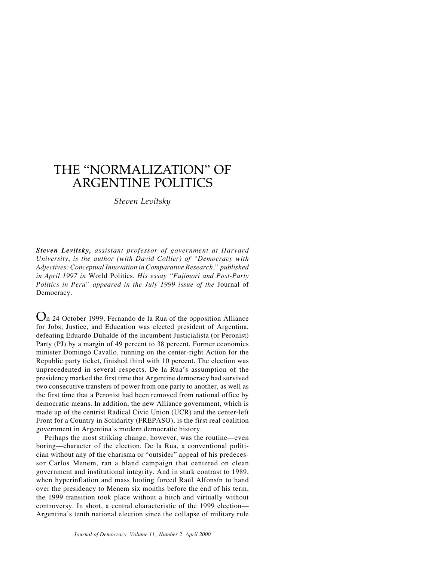# THE "NORMALIZATION" OF ARGENTINE POLITICS

*Steven Levitsky*

*Steven Levitsky, assistant professor of government at Harvard University*, *is the author (with David Collier) of "Democracy with Adjectives: Conceptual Innovation in Comparative Research," published in April 1997 in* World Politics. *His essay "Fujimori and Post-Party Politics in Peru" appeared in the July 1999 issue of the* Journal of Democracy.

 $\mathbf{Q}_n$  24 October 1999, Fernando de la Rua of the opposition Alliance for Jobs, Justice, and Education was elected president of Argentina, defeating Eduardo Duhalde of the incumbent Justicialista (or Peronist) Party (PJ) by a margin of 49 percent to 38 percent. Former economics minister Domingo Cavallo, running on the center-right Action for the Republic party ticket, finished third with 10 percent. The election was unprecedented in several respects. De la Rua's assumption of the presidency marked the first time that Argentine democracy had survived two consecutive transfers of power from one party to another, as well as the first time that a Peronist had been removed from national office by democratic means. In addition, the new Alliance government, which is made up of the centrist Radical Civic Union (UCR) and the center-left Front for a Country in Solidarity (FREPASO), is the first real coalition government in Argentina's modern democratic history.

Perhaps the most striking change, however, was the routine—even boring—character of the election. De la Rua, a conventional politician without any of the charisma or "outsider" appeal of his predecessor Carlos Menem, ran a bland campaign that centered on clean government and institutional integrity. And in stark contrast to 1989, when hyperinflation and mass looting forced Raúl Alfonsín to hand over the presidency to Menem six months before the end of his term, the 1999 transition took place without a hitch and virtually without controversy. In short, a central characteristic of the 1999 election— Argentina's tenth national election since the collapse of military rule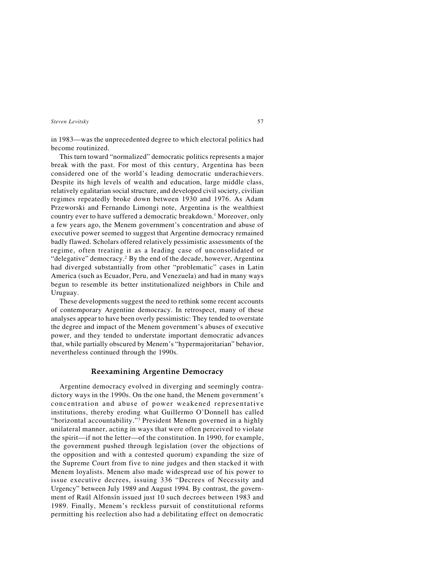in 1983—was the unprecedented degree to which electoral politics had become routinized.

This turn toward "normalized" democratic politics represents a major break with the past. For most of this century, Argentina has been considered one of the world's leading democratic underachievers. Despite its high levels of wealth and education, large middle class, relatively egalitarian social structure, and developed civil society, civilian regimes repeatedly broke down between 1930 and 1976. As Adam Przeworski and Fernando Limongi note, Argentina is the wealthiest country ever to have suffered a democratic breakdown.<sup>1</sup> Moreover, only a few years ago, the Menem government's concentration and abuse of executive power seemed to suggest that Argentine democracy remained badly flawed. Scholars offered relatively pessimistic assessments of the regime, often treating it as a leading case of unconsolidated or "delegative" democracy.<sup>2</sup> By the end of the decade, however, Argentina had diverged substantially from other "problematic" cases in Latin America (such as Ecuador, Peru, and Venezuela) and had in many ways begun to resemble its better institutionalized neighbors in Chile and Uruguay.

These developments suggest the need to rethink some recent accounts of contemporary Argentine democracy. In retrospect, many of these analyses appear to have been overly pessimistic: They tended to overstate the degree and impact of the Menem government's abuses of executive power, and they tended to understate important democratic advances that, while partially obscured by Menem's "hypermajoritarian" behavior, nevertheless continued through the 1990s.

# **Reexamining Argentine Democracy**

Argentine democracy evolved in diverging and seemingly contradictory ways in the 1990s. On the one hand, the Menem government's concentration and abuse of power weakened representative institutions, thereby eroding what Guillermo O'Donnell has called "horizontal accountability."3 President Menem governed in a highly unilateral manner, acting in ways that were often perceived to violate the spirit—if not the letter—of the constitution. In 1990, for example, the government pushed through legislation (over the objections of the opposition and with a contested quorum) expanding the size of the Supreme Court from five to nine judges and then stacked it with Menem loyalists. Menem also made widespread use of his power to issue executive decrees, issuing 336 "Decrees of Necessity and Urgency" between July 1989 and August 1994. By contrast, the government of Raúl Alfonsín issued just 10 such decrees between 1983 and 1989. Finally, Menem's reckless pursuit of constitutional reforms permitting his reelection also had a debilitating effect on democratic

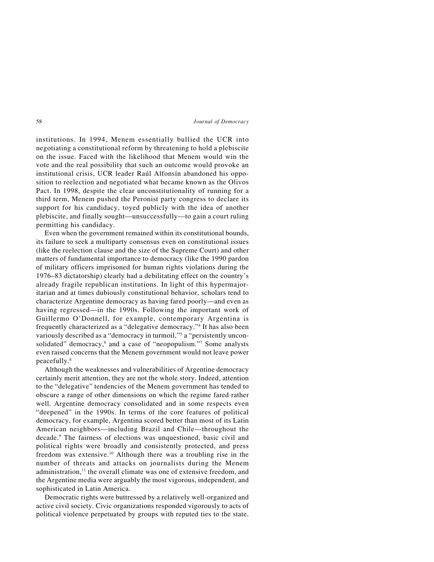institutions. In 1994, Menem essentially bullied the UCR into negotiating a constitutional reform by threatening to hold a plebiscite on the issue. Faced with the likelihood that Menem would win the vote and the real possibility that such an outcome would provoke an institutional crisis, UCR leader Raúl Alfonsín abandoned his opposition to reelection and negotiated what became known as the Olivos Pact. In 1998, despite the clear unconstitutionality of running for a third term, Menem pushed the Peronist party congress to declare its support for his candidacy, toyed publicly with the idea of another plebiscite, and finally sought—unsuccessfully—to gain a court ruling permitting his candidacy.

Even when the government remained within its constitutional bounds, its failure to seek a multiparty consensus even on constitutional issues (like the reelection clause and the size of the Supreme Court) and other matters of fundamental importance to democracy (like the 1990 pardon of military officers imprisoned for human rights violations during the 1976–83 dictatorship) clearly had a debilitating effect on the country's already fragile republican institutions. In light of this hypermajoritarian and at times dubiously constitutional behavior, scholars tend to characterize Argentine democracy as having fared poorly—and even as having regressed—in the 1990s. Following the important work of Guillermo O'Donnell, for example, contemporary Argentina is frequently characterized as a "delegative democracy."4 It has also been variously described as a "democracy in turmoil,"<sup>5</sup> a "persistently unconsolidated" democracy,<sup>6</sup> and a case of "neopopulism."<sup>7</sup> Some analysts even raised concerns that the Menem government would not leave power peacefully.8

Although the weaknesses and vulnerabilities of Argentine democracy certainly merit attention, they are not the whole story. Indeed, attention to the "delegative" tendencies of the Menem government has tended to obscure a range of other dimensions on which the regime fared rather well. Argentine democracy consolidated and in some respects even "deepened" in the 1990s. In terms of the core features of political democracy, for example, Argentina scored better than most of its Latin American neighbors—including Brazil and Chile—throughout the decade.9 The fairness of elections was unquestioned, basic civil and political rights were broadly and consistently protected, and press freedom was extensive.<sup>10</sup> Although there was a troubling rise in the number of threats and attacks on journalists during the Menem administration,<sup>11</sup> the overall climate was one of extensive freedom, and the Argentine media were arguably the most vigorous, independent, and sophisticated in Latin America.

Democratic rights were buttressed by a relatively well-organized and active civil society. Civic organizations responded vigorously to acts of political violence perpetuated by groups with reputed ties to the state.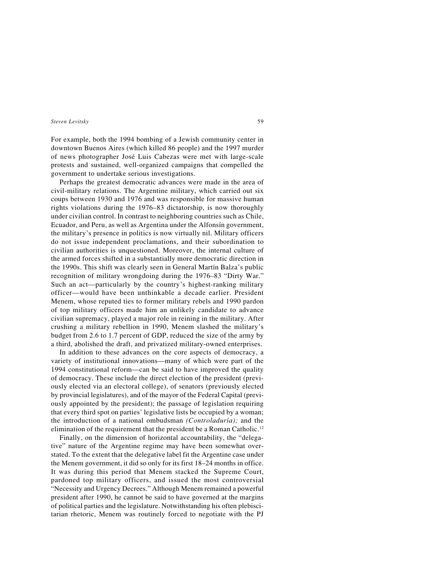For example, both the 1994 bombing of a Jewish community center in downtown Buenos Aires (which killed 86 people) and the 1997 murder of news photographer José Luis Cabezas were met with large-scale protests and sustained, well-organized campaigns that compelled the government to undertake serious investigations.

Perhaps the greatest democratic advances were made in the area of civil-military relations. The Argentine military, which carried out six coups between 1930 and 1976 and was responsible for massive human rights violations during the 1976–83 dictatorship, is now thoroughly under civilian control. In contrast to neighboring countries such as Chile, Ecuador, and Peru, as well as Argentina under the Alfonsín government, the military's presence in politics is now virtually nil. Military officers do not issue independent proclamations, and their subordination to civilian authorities is unquestioned. Moreover, the internal culture of the armed forces shifted in a substantially more democratic direction in the 1990s. This shift was clearly seen in General Martín Balza's public recognition of military wrongdoing during the 1976–83 "Dirty War." Such an act—particularly by the country's highest-ranking military officer—would have been unthinkable a decade earlier. President Menem, whose reputed ties to former military rebels and 1990 pardon of top military officers made him an unlikely candidate to advance civilian supremacy, played a major role in reining in the military. After crushing a military rebellion in 1990, Menem slashed the military's budget from 2.6 to 1.7 percent of GDP, reduced the size of the army by a third, abolished the draft, and privatized military-owned enterprises.

In addition to these advances on the core aspects of democracy, a variety of institutional innovations—many of which were part of the 1994 constitutional reform—can be said to have improved the quality of democracy. These include the direct election of the president (previously elected via an electoral college), of senators (previously elected by provincial legislatures), and of the mayor of the Federal Capital (previously appointed by the president); the passage of legislation requiring that every third spot on parties' legislative lists be occupied by a woman; the introduction of a national ombudsman *(Controladuría);* and the elimination of the requirement that the president be a Roman Catholic.<sup>12</sup>

Finally, on the dimension of horizontal accountability, the "delegative" nature of the Argentine regime may have been somewhat overstated. To the extent that the delegative label fit the Argentine case under the Menem government, it did so only for its first 18–24 months in office. It was during this period that Menem stacked the Supreme Court, pardoned top military officers, and issued the most controversial "Necessity and Urgency Decrees." Although Menem remained a powerful president after 1990, he cannot be said to have governed at the margins of political parties and the legislature. Notwithstanding his often plebiscitarian rhetoric, Menem was routinely forced to negotiate with the PJ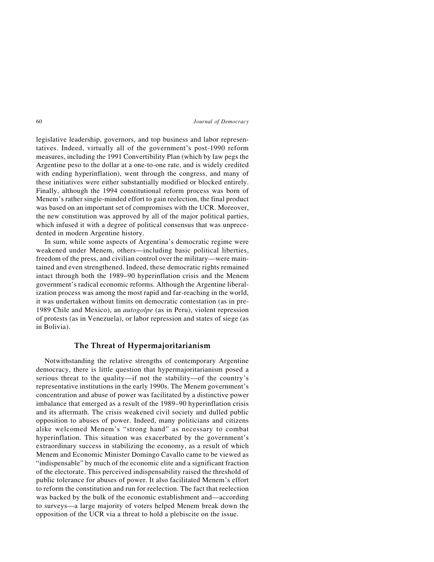legislative leadership, governors, and top business and labor representatives. Indeed, virtually all of the government's post-1990 reform measures, including the 1991 Convertibility Plan (which by law pegs the Argentine peso to the dollar at a one-to-one rate, and is widely credited with ending hyperinflation), went through the congress, and many of these initiatives were either substantially modified or blocked entirely. Finally, although the 1994 constitutional reform process was born of Menem's rather single-minded effort to gain reelection, the final product was based on an important set of compromises with the UCR. Moreover, the new constitution was approved by all of the major political parties, which infused it with a degree of political consensus that was unprecedented in modern Argentine history.

In sum, while some aspects of Argentina's democratic regime were weakened under Menem, others—including basic political liberties, freedom of the press, and civilian control over the military—were maintained and even strengthened. Indeed, these democratic rights remained intact through both the 1989–90 hyperinflation crisis and the Menem government's radical economic reforms. Although the Argentine liberalization process was among the most rapid and far-reaching in the world, it was undertaken without limits on democratic contestation (as in pre-1989 Chile and Mexico), an *autogolpe* (as in Peru), violent repression of protests (as in Venezuela), or labor repression and states of siege (as in Bolivia).

# **The Threat of Hypermajoritarianism**

Notwithstanding the relative strengths of contemporary Argentine democracy, there is little question that hypermajoritarianism posed a serious threat to the quality—if not the stability—of the country's representative institutions in the early 1990s. The Menem government's concentration and abuse of power was facilitated by a distinctive power imbalance that emerged as a result of the 1989–90 hyperinflation crisis and its aftermath. The crisis weakened civil society and dulled public opposition to abuses of power. Indeed, many politicians and citizens alike welcomed Menem's "strong hand" as necessary to combat hyperinflation. This situation was exacerbated by the government's extraordinary success in stabilizing the economy, as a result of which Menem and Economic Minister Domingo Cavallo came to be viewed as "indispensable" by much of the economic elite and a significant fraction of the electorate. This perceived indispensability raised the threshold of public tolerance for abuses of power. It also facilitated Menem's effort to reform the constitution and run for reelection. The fact that reelection was backed by the bulk of the economic establishment and—according to surveys—a large majority of voters helped Menem break down the opposition of the UCR via a threat to hold a plebiscite on the issue.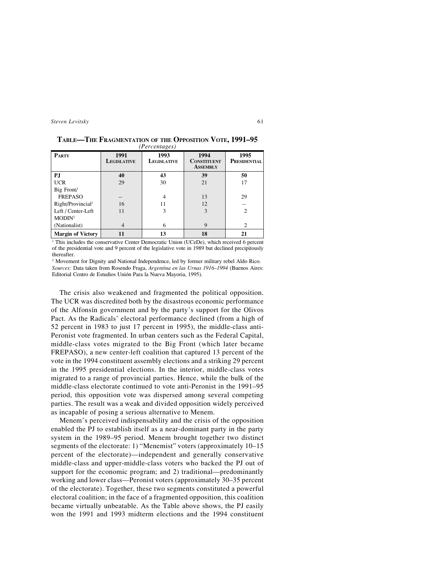| r ercentages)                 |                            |                     |                                               |                      |
|-------------------------------|----------------------------|---------------------|-----------------------------------------------|----------------------|
| <b>PARTY</b>                  | 1991<br><b>LEGISLATIVE</b> | 1993<br>LEGISLATIVE | 1994<br><b>CONSTITUENT</b><br><b>ASSEMBLY</b> | 1995<br>PRESIDENTIAL |
| P.J                           | 40                         | 43                  | 39                                            | 50                   |
| <b>UCR</b>                    | 29                         | 30                  | 21                                            | 17                   |
| Big Front/                    |                            |                     |                                               |                      |
| <b>FREPASO</b>                | --                         |                     | 13                                            | 29                   |
| Right/Provincial <sup>1</sup> | 16                         | 11                  | 12                                            |                      |
| Left / Center-Left            | 11                         | 3                   | 3                                             | $\overline{c}$       |
| MODIN <sup>2</sup>            |                            |                     |                                               |                      |
| (Nationalist)                 | 4                          | 6                   | 9                                             | 2                    |
| <b>Margin of Victory</b>      |                            | 13                  | 18                                            | 21                   |

**TABLE—THE FRAGMENTATION OF THE OPPOSITION VOTE, 1991–95** *(Percentages)*

<sup>1</sup> This includes the conservative Center Democratic Union (UCeDe), which received 6 percent of the presidential vote and 9 percent of the legislative vote in 1989 but declined precipitously thereafter.

<sup>2</sup> Movement for Dignity and National Independence, led by former military rebel Aldo Rico. *Sources:* Data taken from Rosendo Fraga, *Argentina en las Urnas 1916–1994* (Buenos Aires: Editorial Centro de Estudios Unión Para la Nueva Mayoria, 1995).

The crisis also weakened and fragmented the political opposition. The UCR was discredited both by the disastrous economic performance of the Alfonsín government and by the party's support for the Olivos Pact. As the Radicals' electoral performance declined (from a high of 52 percent in 1983 to just 17 percent in 1995), the middle-class anti-Peronist vote fragmented. In urban centers such as the Federal Capital, middle-class votes migrated to the Big Front (which later became FREPASO), a new center-left coalition that captured 13 percent of the vote in the 1994 constituent assembly elections and a striking 29 percent in the 1995 presidential elections. In the interior, middle-class votes migrated to a range of provincial parties. Hence, while the bulk of the middle-class electorate continued to vote anti-Peronist in the 1991–95 period, this opposition vote was dispersed among several competing parties. The result was a weak and divided opposition widely perceived as incapable of posing a serious alternative to Menem.

Menem's perceived indispensability and the crisis of the opposition enabled the PJ to establish itself as a near-dominant party in the party system in the 1989–95 period. Menem brought together two distinct segments of the electorate: 1) "Menemist" voters (approximately 10–15 percent of the electorate)—independent and generally conservative middle-class and upper-middle-class voters who backed the PJ out of support for the economic program; and 2) traditional—predominantly working and lower class—Peronist voters (approximately 30–35 percent of the electorate). Together, these two segments constituted a powerful electoral coalition; in the face of a fragmented opposition, this coalition became virtually unbeatable. As the Table above shows, the PJ easily won the 1991 and 1993 midterm elections and the 1994 constituent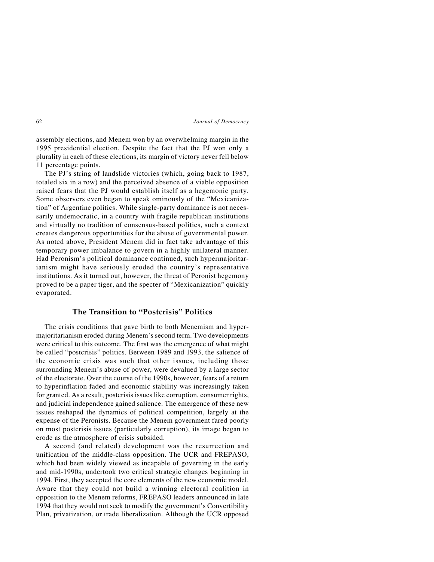assembly elections, and Menem won by an overwhelming margin in the 1995 presidential election. Despite the fact that the PJ won only a plurality in each of these elections, its margin of victory never fell below 11 percentage points.

The PJ's string of landslide victories (which, going back to 1987, totaled six in a row) and the perceived absence of a viable opposition raised fears that the PJ would establish itself as a hegemonic party. Some observers even began to speak ominously of the "Mexicanization" of Argentine politics. While single-party dominance is not necessarily undemocratic, in a country with fragile republican institutions and virtually no tradition of consensus-based politics, such a context creates dangerous opportunities for the abuse of governmental power. As noted above, President Menem did in fact take advantage of this temporary power imbalance to govern in a highly unilateral manner. Had Peronism's political dominance continued, such hypermajoritarianism might have seriously eroded the country's representative institutions. As it turned out, however, the threat of Peronist hegemony proved to be a paper tiger, and the specter of "Mexicanization" quickly evaporated.

# **The Transition to "Postcrisis" Politics**

The crisis conditions that gave birth to both Menemism and hypermajoritarianism eroded during Menem's second term. Two developments were critical to this outcome. The first was the emergence of what might be called "postcrisis" politics. Between 1989 and 1993, the salience of the economic crisis was such that other issues, including those surrounding Menem's abuse of power, were devalued by a large sector of the electorate. Over the course of the 1990s, however, fears of a return to hyperinflation faded and economic stability was increasingly taken for granted. As a result, postcrisis issues like corruption, consumer rights, and judicial independence gained salience. The emergence of these new issues reshaped the dynamics of political competition, largely at the expense of the Peronists. Because the Menem government fared poorly on most postcrisis issues (particularly corruption), its image began to erode as the atmosphere of crisis subsided.

A second (and related) development was the resurrection and unification of the middle-class opposition. The UCR and FREPASO, which had been widely viewed as incapable of governing in the early and mid-1990s, undertook two critical strategic changes beginning in 1994. First, they accepted the core elements of the new economic model. Aware that they could not build a winning electoral coalition in opposition to the Menem reforms, FREPASO leaders announced in late 1994 that they would not seek to modify the government's Convertibility Plan, privatization, or trade liberalization. Although the UCR opposed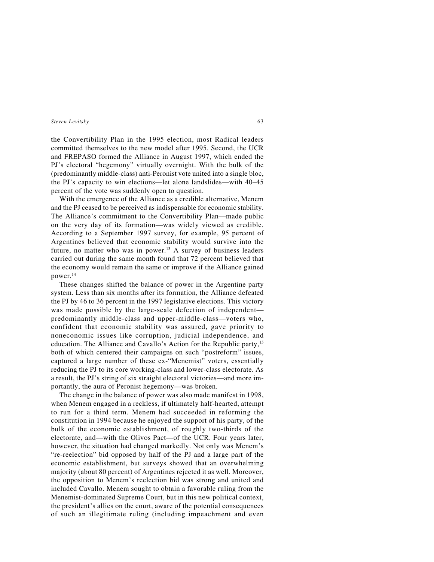the Convertibility Plan in the 1995 election, most Radical leaders committed themselves to the new model after 1995. Second, the UCR and FREPASO formed the Alliance in August 1997, which ended the PJ's electoral "hegemony" virtually overnight. With the bulk of the (predominantly middle-class) anti-Peronist vote united into a single bloc, the PJ's capacity to win elections—let alone landslides—with 40–45 percent of the vote was suddenly open to question.

With the emergence of the Alliance as a credible alternative, Menem and the PJ ceased to be perceived as indispensable for economic stability. The Alliance's commitment to the Convertibility Plan—made public on the very day of its formation—was widely viewed as credible. According to a September 1997 survey, for example, 95 percent of Argentines believed that economic stability would survive into the future, no matter who was in power.<sup>13</sup> A survey of business leaders carried out during the same month found that 72 percent believed that the economy would remain the same or improve if the Alliance gained power.<sup>14</sup>

These changes shifted the balance of power in the Argentine party system. Less than six months after its formation, the Alliance defeated the PJ by 46 to 36 percent in the 1997 legislative elections. This victory was made possible by the large-scale defection of independent predominantly middle-class and upper-middle-class—voters who, confident that economic stability was assured, gave priority to noneconomic issues like corruption, judicial independence, and education. The Alliance and Cavallo's Action for the Republic party,15 both of which centered their campaigns on such "postreform" issues, captured a large number of these ex-"Menemist" voters, essentially reducing the PJ to its core working-class and lower-class electorate. As a result, the PJ's string of six straight electoral victories—and more importantly, the aura of Peronist hegemony—was broken.

The change in the balance of power was also made manifest in 1998, when Menem engaged in a reckless, if ultimately half-hearted, attempt to run for a third term. Menem had succeeded in reforming the constitution in 1994 because he enjoyed the support of his party, of the bulk of the economic establishment, of roughly two-thirds of the electorate, and—with the Olivos Pact—of the UCR. Four years later, however, the situation had changed markedly. Not only was Menem's "re-reelection" bid opposed by half of the PJ and a large part of the economic establishment, but surveys showed that an overwhelming majority (about 80 percent) of Argentines rejected it as well. Moreover, the opposition to Menem's reelection bid was strong and united and included Cavallo. Menem sought to obtain a favorable ruling from the Menemist-dominated Supreme Court, but in this new political context, the president's allies on the court, aware of the potential consequences of such an illegitimate ruling (including impeachment and even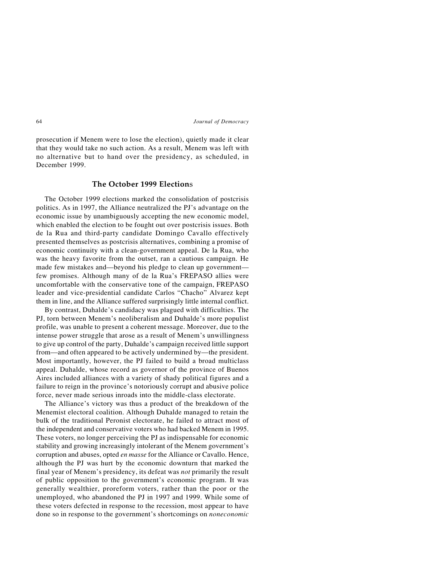prosecution if Menem were to lose the election), quietly made it clear that they would take no such action. As a result, Menem was left with no alternative but to hand over the presidency, as scheduled, in December 1999.

# **The October 1999 Election**s

The October 1999 elections marked the consolidation of postcrisis politics. As in 1997, the Alliance neutralized the PJ's advantage on the economic issue by unambiguously accepting the new economic model, which enabled the election to be fought out over postcrisis issues. Both de la Rua and third-party candidate Domingo Cavallo effectively presented themselves as postcrisis alternatives, combining a promise of economic continuity with a clean-government appeal. De la Rua, who was the heavy favorite from the outset, ran a cautious campaign. He made few mistakes and—beyond his pledge to clean up government few promises. Although many of de la Rua's FREPASO allies were uncomfortable with the conservative tone of the campaign, FREPASO leader and vice-presidential candidate Carlos "Chacho" Alvarez kept them in line, and the Alliance suffered surprisingly little internal conflict.

By contrast, Duhalde's candidacy was plagued with difficulties. The PJ, torn between Menem's neoliberalism and Duhalde's more populist profile, was unable to present a coherent message. Moreover, due to the intense power struggle that arose as a result of Menem's unwillingness to give up control of the party, Duhalde's campaign received little support from—and often appeared to be actively undermined by—the president. Most importantly, however, the PJ failed to build a broad multiclass appeal. Duhalde, whose record as governor of the province of Buenos Aires included alliances with a variety of shady political figures and a failure to reign in the province's notoriously corrupt and abusive police force, never made serious inroads into the middle-class electorate.

The Alliance's victory was thus a product of the breakdown of the Menemist electoral coalition. Although Duhalde managed to retain the bulk of the traditional Peronist electorate, he failed to attract most of the independent and conservative voters who had backed Menem in 1995. These voters, no longer perceiving the PJ as indispensable for economic stability and growing increasingly intolerant of the Menem government's corruption and abuses, opted *en masse* for the Alliance or Cavallo. Hence, although the PJ was hurt by the economic downturn that marked the final year of Menem's presidency, its defeat was *not* primarily the result of public opposition to the government's economic program. It was generally wealthier, proreform voters, rather than the poor or the unemployed, who abandoned the PJ in 1997 and 1999. While some of these voters defected in response to the recession, most appear to have done so in response to the government's shortcomings on *noneconomic*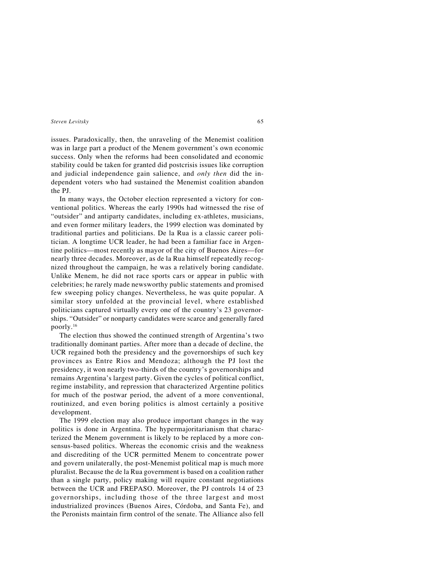issues. Paradoxically, then, the unraveling of the Menemist coalition was in large part a product of the Menem government's own economic success. Only when the reforms had been consolidated and economic stability could be taken for granted did postcrisis issues like corruption and judicial independence gain salience, and *only then* did the independent voters who had sustained the Menemist coalition abandon the PJ.

In many ways, the October election represented a victory for conventional politics. Whereas the early 1990s had witnessed the rise of "outsider" and antiparty candidates, including ex-athletes, musicians, and even former military leaders, the 1999 election was dominated by traditional parties and politicians. De la Rua is a classic career politician. A longtime UCR leader, he had been a familiar face in Argentine politics—most recently as mayor of the city of Buenos Aires—for nearly three decades. Moreover, as de la Rua himself repeatedly recognized throughout the campaign, he was a relatively boring candidate. Unlike Menem, he did not race sports cars or appear in public with celebrities; he rarely made newsworthy public statements and promised few sweeping policy changes. Nevertheless, he was quite popular. A similar story unfolded at the provincial level, where established politicians captured virtually every one of the country's 23 governorships. "Outsider" or nonparty candidates were scarce and generally fared poorly.16

The election thus showed the continued strength of Argentina's two traditionally dominant parties. After more than a decade of decline, the UCR regained both the presidency and the governorships of such key provinces as Entre Rios and Mendoza; although the PJ lost the presidency, it won nearly two-thirds of the country's governorships and remains Argentina's largest party. Given the cycles of political conflict, regime instability, and repression that characterized Argentine politics for much of the postwar period, the advent of a more conventional, routinized, and even boring politics is almost certainly a positive development.

The 1999 election may also produce important changes in the way politics is done in Argentina. The hypermajoritarianism that characterized the Menem government is likely to be replaced by a more consensus-based politics. Whereas the economic crisis and the weakness and discrediting of the UCR permitted Menem to concentrate power and govern unilaterally, the post-Menemist political map is much more pluralist. Because the de la Rua government is based on a coalition rather than a single party, policy making will require constant negotiations between the UCR and FREPASO. Moreover, the PJ controls 14 of 23 governorships, including those of the three largest and most industrialized provinces (Buenos Aires, Córdoba, and Santa Fe), and the Peronists maintain firm control of the senate. The Alliance also fell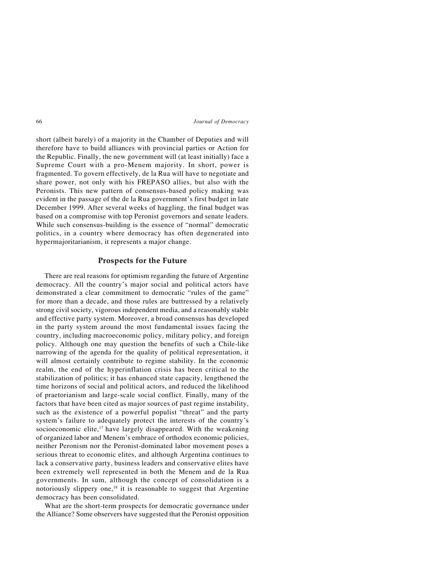short (albeit barely) of a majority in the Chamber of Deputies and will therefore have to build alliances with provincial parties or Action for the Republic. Finally, the new government will (at least initially) face a Supreme Court with a pro-Menem majority. In short, power is fragmented. To govern effectively, de la Rua will have to negotiate and share power, not only with his FREPASO allies, but also with the Peronists. This new pattern of consensus-based policy making was evident in the passage of the de la Rua government's first budget in late December 1999. After several weeks of haggling, the final budget was based on a compromise with top Peronist governors and senate leaders. While such consensus-building is the essence of "normal" democratic politics, in a country where democracy has often degenerated into hypermajoritarianism, it represents a major change.

# **Prospects for the Future**

There are real reasons for optimism regarding the future of Argentine democracy. All the country's major social and political actors have demonstrated a clear commitment to democratic "rules of the game" for more than a decade, and those rules are buttressed by a relatively strong civil society, vigorous independent media, and a reasonably stable and effective party system. Moreover, a broad consensus has developed in the party system around the most fundamental issues facing the country, including macroeconomic policy, military policy, and foreign policy. Although one may question the benefits of such a Chile-like narrowing of the agenda for the quality of political representation, it will almost certainly contribute to regime stability. In the economic realm, the end of the hyperinflation crisis has been critical to the stabilization of politics; it has enhanced state capacity, lengthened the time horizons of social and political actors, and reduced the likelihood of praetorianism and large-scale social conflict. Finally, many of the factors that have been cited as major sources of past regime instability, such as the existence of a powerful populist "threat" and the party system's failure to adequately protect the interests of the country's socioeconomic elite,<sup>17</sup> have largely disappeared. With the weakening of organized labor and Menem's embrace of orthodox economic policies, neither Peronism nor the Peronist-dominated labor movement poses a serious threat to economic elites, and although Argentina continues to lack a conservative party, business leaders and conservative elites have been extremely well represented in both the Menem and de la Rua governments. In sum, although the concept of consolidation is a notoriously slippery one, $18$  it is reasonable to suggest that Argentine democracy has been consolidated.

What are the short-term prospects for democratic governance under the Alliance? Some observers have suggested that the Peronist opposition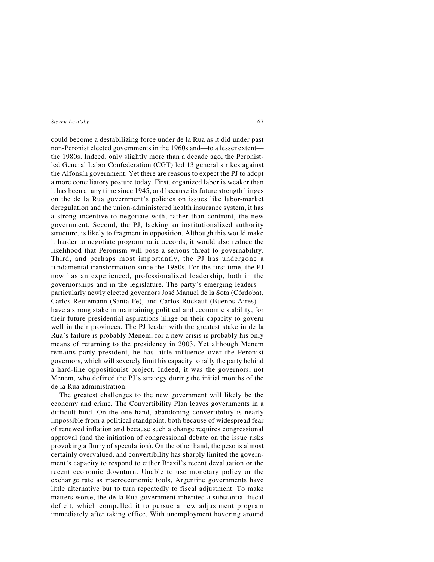could become a destabilizing force under de la Rua as it did under past non-Peronist elected governments in the 1960s and—to a lesser extent the 1980s. Indeed, only slightly more than a decade ago, the Peronistled General Labor Confederation (CGT) led 13 general strikes against the Alfonsín government. Yet there are reasons to expect the PJ to adopt a more conciliatory posture today. First, organized labor is weaker than it has been at any time since 1945, and because its future strength hinges on the de la Rua government's policies on issues like labor-market deregulation and the union-administered health insurance system, it has a strong incentive to negotiate with, rather than confront, the new government. Second, the PJ, lacking an institutionalized authority structure, is likely to fragment in opposition. Although this would make it harder to negotiate programmatic accords, it would also reduce the likelihood that Peronism will pose a serious threat to governability. Third, and perhaps most importantly, the PJ has undergone a fundamental transformation since the 1980s. For the first time, the PJ now has an experienced, professionalized leadership, both in the governorships and in the legislature. The party's emerging leaders particularly newly elected governors José Manuel de la Sota (Córdoba), Carlos Reutemann (Santa Fe), and Carlos Ruckauf (Buenos Aires) have a strong stake in maintaining political and economic stability, for their future presidential aspirations hinge on their capacity to govern well in their provinces. The PJ leader with the greatest stake in de la Rua's failure is probably Menem, for a new crisis is probably his only means of returning to the presidency in 2003. Yet although Menem remains party president, he has little influence over the Peronist governors, which will severely limit his capacity to rally the party behind a hard-line oppositionist project. Indeed, it was the governors, not Menem, who defined the PJ's strategy during the initial months of the de la Rua administration.

The greatest challenges to the new government will likely be the economy and crime. The Convertibility Plan leaves governments in a difficult bind. On the one hand, abandoning convertibility is nearly impossible from a political standpoint, both because of widespread fear of renewed inflation and because such a change requires congressional approval (and the initiation of congressional debate on the issue risks provoking a flurry of speculation). On the other hand, the peso is almost certainly overvalued, and convertibility has sharply limited the government's capacity to respond to either Brazil's recent devaluation or the recent economic downturn. Unable to use monetary policy or the exchange rate as macroeconomic tools, Argentine governments have little alternative but to turn repeatedly to fiscal adjustment. To make matters worse, the de la Rua government inherited a substantial fiscal deficit, which compelled it to pursue a new adjustment program immediately after taking office. With unemployment hovering around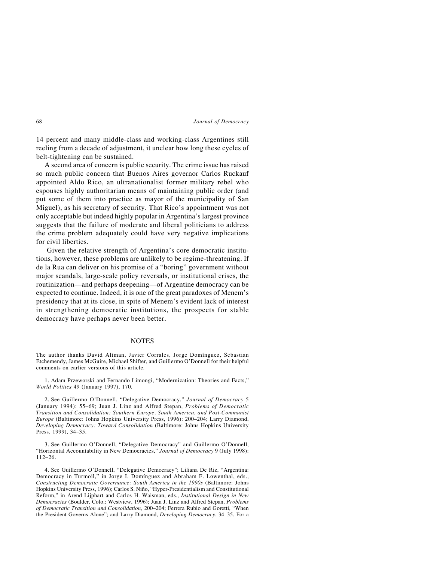14 percent and many middle-class and working-class Argentines still reeling from a decade of adjustment, it unclear how long these cycles of belt-tightening can be sustained.

A second area of concern is public security. The crime issue has raised so much public concern that Buenos Aires governor Carlos Ruckauf appointed Aldo Rico, an ultranationalist former military rebel who espouses highly authoritarian means of maintaining public order (and put some of them into practice as mayor of the municipality of San Miguel), as his secretary of security. That Rico's appointment was not only acceptable but indeed highly popular in Argentina's largest province suggests that the failure of moderate and liberal politicians to address the crime problem adequately could have very negative implications for civil liberties.

 Given the relative strength of Argentina's core democratic institutions, however, these problems are unlikely to be regime-threatening. If de la Rua can deliver on his promise of a "boring" government without major scandals, large-scale policy reversals, or institutional crises, the routinization—and perhaps deepening—of Argentine democracy can be expected to continue. Indeed, it is one of the great paradoxes of Menem's presidency that at its close, in spite of Menem's evident lack of interest in strengthening democratic institutions, the prospects for stable democracy have perhaps never been better.

#### **NOTES**

The author thanks David Altman, Javier Corrales, Jorge Domínguez, Sebastian Etchemendy, James McGuire, Michael Shifter, and Guillermo O'Donnell for their helpful comments on earlier versions of this article.

1. Adam Przeworski and Fernando Limongi, "Modernization: Theories and Facts," *World Politics* 49 (January 1997), 170.

2. See Guillermo O'Donnell, "Delegative Democracy," *Journal of Democracy* 5 (January 1994): 55–69; Juan J. Linz and Alfred Stepan, *Problems of Democratic Transition and Consolidation: Southern Europe, South America, and Post-Communist Europe* (Baltimore: Johns Hopkins University Press, 1996): 200–204; Larry Diamond, *Developing Democracy: Toward Consolidation* (Baltimore: Johns Hopkins University Press, 1999), 34–35.

3. See Guillermo O'Donnell, "Delegative Democracy" and Guillermo O'Donnell, "Horizontal Accountability in New Democracies," *Journal of Democracy* 9 (July 1998): 112–26.

4. See Guillermo O'Donnell, "Delegative Democracy"; Liliana De Riz, "Argentina: Democracy in Turmoil," in Jorge I. Domínguez and Abraham F. Lowenthal, eds., *Constructing Democratic Governance: South America in the 1990s* (Baltimore: Johns Hopkins University Press, 1996); Carlos S. Niño, "Hyper-Presidentialism and Constitutional Reform," in Arend Lijphart and Carlos H. Waisman, eds., *Institutional Design in New Democracies* (Boulder, Colo.: Westview, 1996); Juan J. Linz and Alfred Stepan, *Problems of Democratic Transition and Consolidation,* 200–204; Ferrera Rubio and Goretti, "When the President Governs Alone"; and Larry Diamond, *Developing Democracy*, 34–35. For a